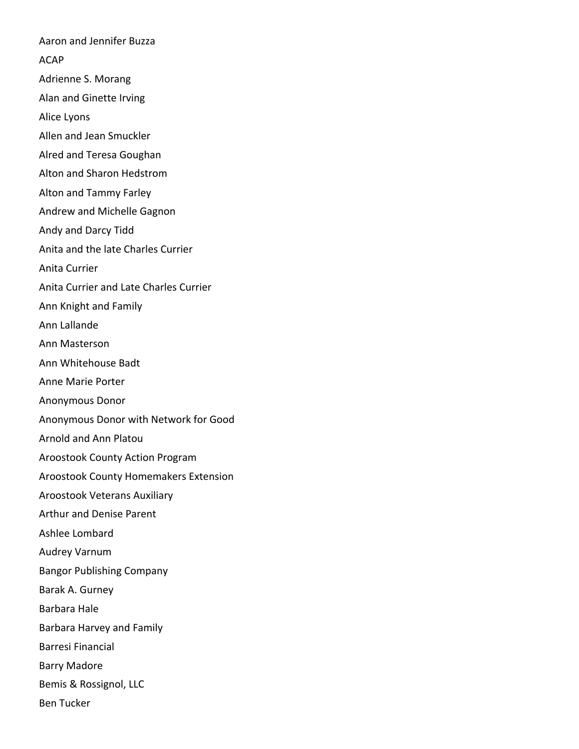Aaron and Jennifer Buzza ACAP Adrienne S. Morang Alan and Ginette Irving Alice Lyons Allen and Jean Smuckler Alred and Teresa Goughan Alton and Sharon Hedstrom Alton and Tammy Farley Andrew and Michelle Gagnon Andy and Darcy Tidd Anita and the late Charles Currier Anita Currier Anita Currier and Late Charles Currier Ann Knight and Family Ann Lallande Ann Masterson Ann Whitehouse Badt Anne Marie Porter Anonymous Donor Anonymous Donor with Network for Good Arnold and Ann Platou Aroostook County Action Program Aroostook County Homemakers Extension Aroostook Veterans Auxiliary Arthur and Denise Parent Ashlee Lombard Audrey Varnum Bangor Publishing Company Barak A. Gurney Barbara Hale Barbara Harvey and Family Barresi Financial Barry Madore Bemis & Rossignol, LLC Ben Tucker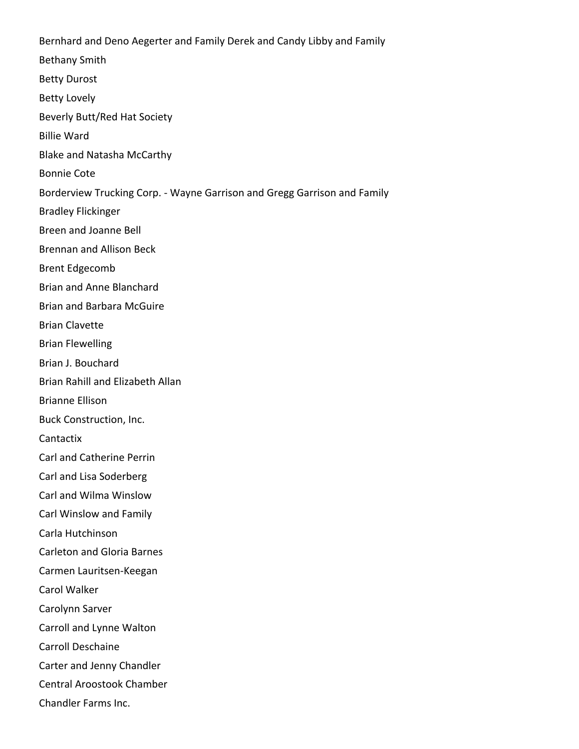Bernhard and Deno Aegerter and Family Derek and Candy Libby and Family Bethany Smith Betty Durost Betty Lovely Beverly Butt/Red Hat Society Billie Ward Blake and Natasha McCarthy Bonnie Cote Borderview Trucking Corp. - Wayne Garrison and Gregg Garrison and Family Bradley Flickinger Breen and Joanne Bell Brennan and Allison Beck Brent Edgecomb Brian and Anne Blanchard Brian and Barbara McGuire Brian Clavette Brian Flewelling Brian J. Bouchard Brian Rahill and Elizabeth Allan Brianne Ellison Buck Construction, Inc. Cantactix Carl and Catherine Perrin Carl and Lisa Soderberg Carl and Wilma Winslow Carl Winslow and Family Carla Hutchinson Carleton and Gloria Barnes Carmen Lauritsen-Keegan Carol Walker Carolynn Sarver Carroll and Lynne Walton Carroll Deschaine Carter and Jenny Chandler Central Aroostook Chamber Chandler Farms Inc.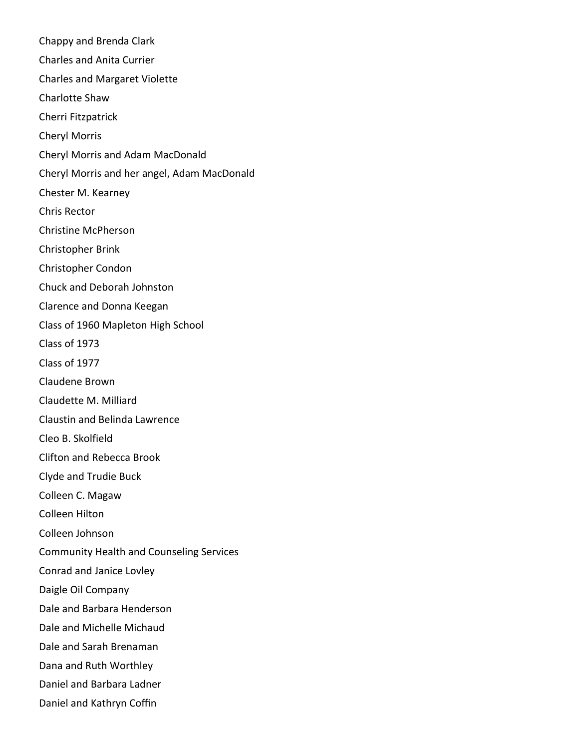Chappy and Brenda Clark Charles and Anita Currier Charles and Margaret Violette Charlotte Shaw Cherri Fitzpatrick Cheryl Morris Cheryl Morris and Adam MacDonald Cheryl Morris and her angel, Adam MacDonald Chester M. Kearney Chris Rector Christine McPherson Christopher Brink Christopher Condon Chuck and Deborah Johnston Clarence and Donna Keegan Class of 1960 Mapleton High School Class of 1973 Class of 1977 Claudene Brown Claudette M. Milliard Claustin and Belinda Lawrence Cleo B. Skolfield Clifton and Rebecca Brook Clyde and Trudie Buck Colleen C. Magaw Colleen Hilton Colleen Johnson Community Health and Counseling Services Conrad and Janice Lovley Daigle Oil Company Dale and Barbara Henderson Dale and Michelle Michaud Dale and Sarah Brenaman Dana and Ruth Worthley Daniel and Barbara Ladner Daniel and Kathryn Coffin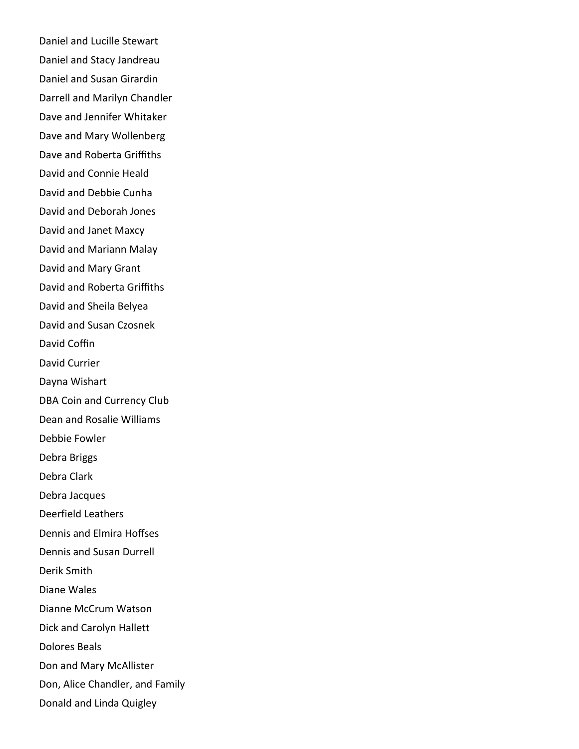Daniel and Lucille Stewart Daniel and Stacy Jandreau Daniel and Susan Girardin Darrell and Marilyn Chandler Dave and Jennifer Whitaker Dave and Mary Wollenberg Dave and Roberta Griffiths David and Connie Heald David and Debbie Cunha David and Deborah Jones David and Janet Maxcy David and Mariann Malay David and Mary Grant David and Roberta Griffiths David and Sheila Belyea David and Susan Czosnek David Coffin David Currier Dayna Wishart DBA Coin and Currency Club Dean and Rosalie Williams Debbie Fowler Debra Briggs Debra Clark Debra Jacques Deerfield Leathers Dennis and Elmira Hoffses Dennis and Susan Durrell Derik Smith Diane Wales Dianne McCrum Watson Dick and Carolyn Hallett Dolores Beals Don and Mary McAllister Don, Alice Chandler, and Family Donald and Linda Quigley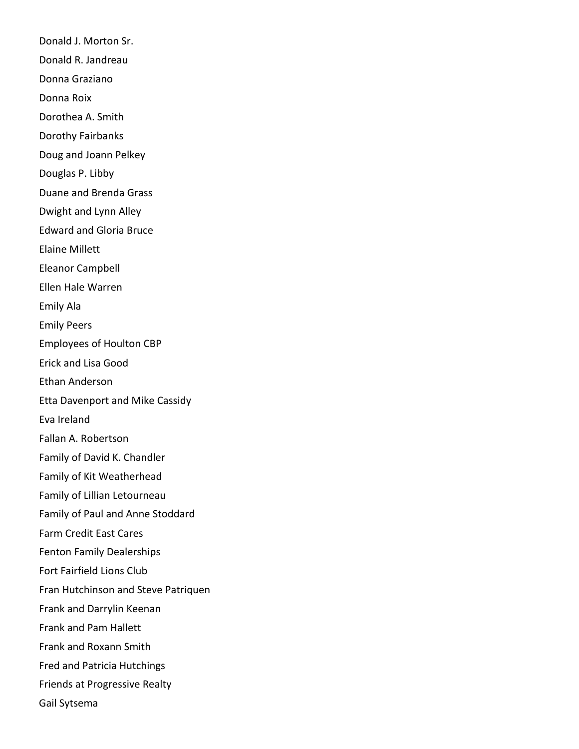Donald J. Morton Sr. Donald R. Jandreau Donna Graziano Donna Roix Dorothea A. Smith Dorothy Fairbanks Doug and Joann Pelkey Douglas P. Libby Duane and Brenda Grass Dwight and Lynn Alley Edward and Gloria Bruce Elaine Millett Eleanor Campbell Ellen Hale Warren Emily Ala Emily Peers Employees of Houlton CBP Erick and Lisa Good Ethan Anderson Etta Davenport and Mike Cassidy Eva Ireland Fallan A. Robertson Family of David K. Chandler Family of Kit Weatherhead Family of Lillian Letourneau Family of Paul and Anne Stoddard Farm Credit East Cares Fenton Family Dealerships Fort Fairfield Lions Club Fran Hutchinson and Steve Patriquen Frank and Darrylin Keenan Frank and Pam Hallett Frank and Roxann Smith Fred and Patricia Hutchings Friends at Progressive Realty Gail Sytsema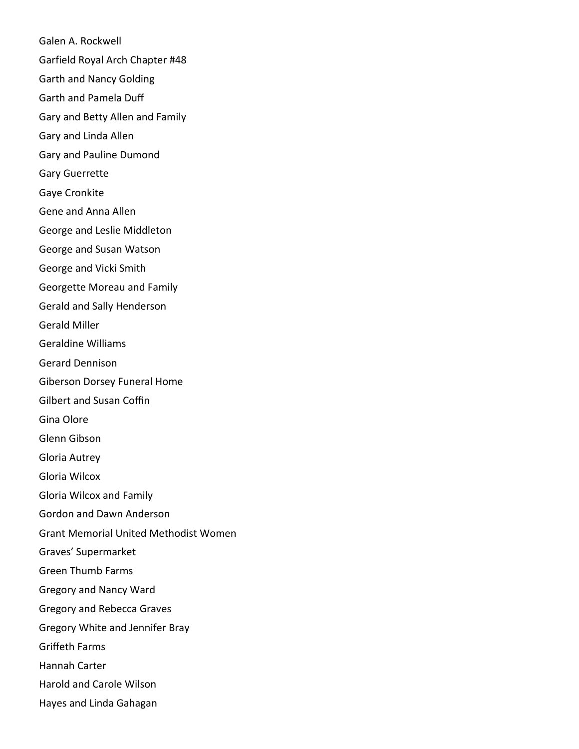Galen A. Rockwell Garfield Royal Arch Chapter #48 Garth and Nancy Golding Garth and Pamela Duff Gary and Betty Allen and Family Gary and Linda Allen Gary and Pauline Dumond Gary Guerrette Gaye Cronkite Gene and Anna Allen George and Leslie Middleton George and Susan Watson George and Vicki Smith Georgette Moreau and Family Gerald and Sally Henderson Gerald Miller Geraldine Williams Gerard Dennison Giberson Dorsey Funeral Home Gilbert and Susan Coffin Gina Olore Glenn Gibson Gloria Autrey Gloria Wilcox Gloria Wilcox and Family Gordon and Dawn Anderson Grant Memorial United Methodist Women Graves' Supermarket Green Thumb Farms Gregory and Nancy Ward Gregory and Rebecca Graves Gregory White and Jennifer Bray Griffeth Farms Hannah Carter Harold and Carole Wilson Hayes and Linda Gahagan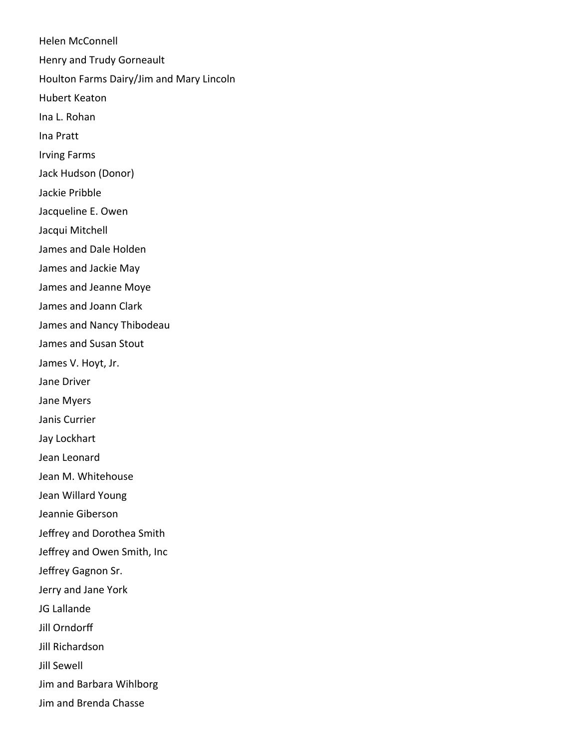Helen McConnell Henry and Trudy Gorneault Houlton Farms Dairy/Jim and Mary Lincoln Hubert Keaton Ina L. Rohan Ina Pratt Irving Farms Jack Hudson (Donor) Jackie Pribble Jacqueline E. Owen Jacqui Mitchell James and Dale Holden James and Jackie May James and Jeanne Moye James and Joann Clark James and Nancy Thibodeau James and Susan Stout James V. Hoyt, Jr. Jane Driver Jane Myers Janis Currier Jay Lockhart Jean Leonard Jean M. Whitehouse Jean Willard Young Jeannie Giberson Jeffrey and Dorothea Smith Jeffrey and Owen Smith, Inc Jeffrey Gagnon Sr. Jerry and Jane York JG Lallande Jill Orndorff Jill Richardson Jill Sewell Jim and Barbara Wihlborg Jim and Brenda Chasse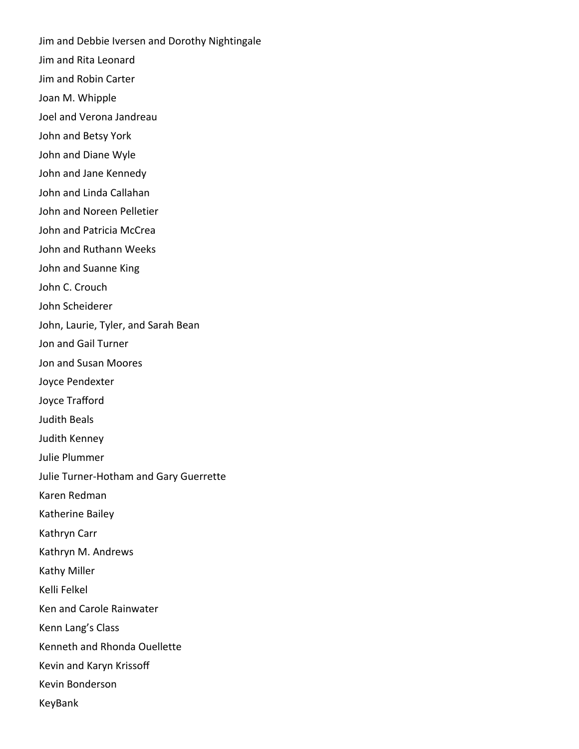Jim and Debbie Iversen and Dorothy Nightingale Jim and Rita Leonard Jim and Robin Carter Joan M. Whipple Joel and Verona Jandreau John and Betsy York John and Diane Wyle John and Jane Kennedy John and Linda Callahan John and Noreen Pelletier John and Patricia McCrea John and Ruthann Weeks John and Suanne King John C. Crouch John Scheiderer John, Laurie, Tyler, and Sarah Bean Jon and Gail Turner Jon and Susan Moores Joyce Pendexter Joyce Trafford Judith Beals Judith Kenney Julie Plummer Julie Turner-Hotham and Gary Guerrette Karen Redman Katherine Bailey Kathryn Carr Kathryn M. Andrews Kathy Miller Kelli Felkel Ken and Carole Rainwater Kenn Lang's Class Kenneth and Rhonda Ouellette Kevin and Karyn Krissoff Kevin Bonderson KeyBank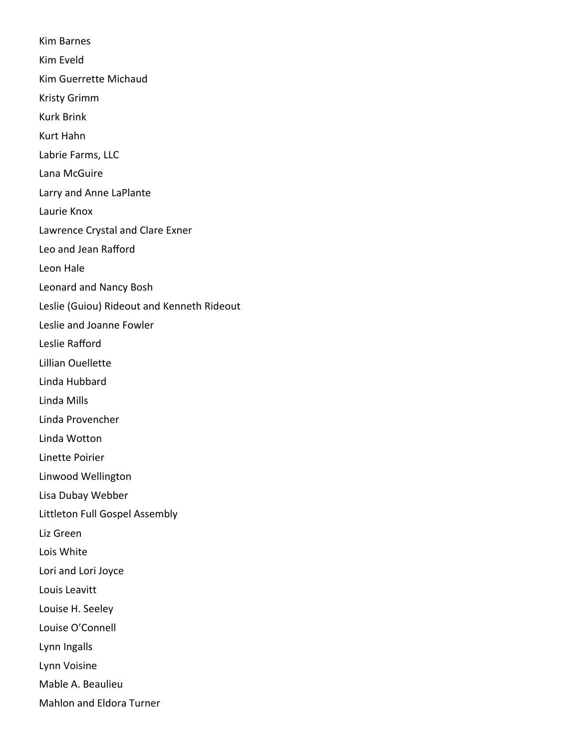Kim Barnes Kim Eveld Kim Guerrette Michaud Kristy Grimm Kurk Brink Kurt Hahn Labrie Farms, LLC Lana McGuire Larry and Anne LaPlante Laurie Knox Lawrence Crystal and Clare Exner Leo and Jean Rafford Leon Hale Leonard and Nancy Bosh Leslie (Guiou) Rideout and Kenneth Rideout Leslie and Joanne Fowler Leslie Rafford Lillian Ouellette Linda Hubbard Linda Mills Linda Provencher Linda Wotton Linette Poirier Linwood Wellington Lisa Dubay Webber Littleton Full Gospel Assembly Liz Green Lois White Lori and Lori Joyce Louis Leavitt Louise H. Seeley Louise O'Connell Lynn Ingalls Lynn Voisine Mable A. Beaulieu Mahlon and Eldora Turner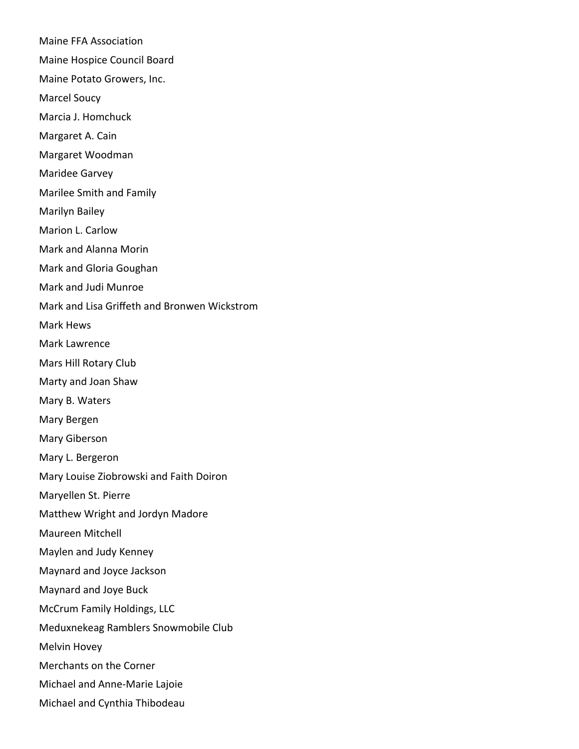Maine FFA Association Maine Hospice Council Board Maine Potato Growers, Inc. Marcel Soucy Marcia J. Homchuck Margaret A. Cain Margaret Woodman Maridee Garvey Marilee Smith and Family Marilyn Bailey Marion L. Carlow Mark and Alanna Morin Mark and Gloria Goughan Mark and Judi Munroe Mark and Lisa Griffeth and Bronwen Wickstrom Mark Hews Mark Lawrence Mars Hill Rotary Club Marty and Joan Shaw Mary B. Waters Mary Bergen Mary Giberson Mary L. Bergeron Mary Louise Ziobrowski and Faith Doiron Maryellen St. Pierre Matthew Wright and Jordyn Madore Maureen Mitchell Maylen and Judy Kenney Maynard and Joyce Jackson Maynard and Joye Buck McCrum Family Holdings, LLC Meduxnekeag Ramblers Snowmobile Club Melvin Hovey Merchants on the Corner Michael and Anne-Marie Lajoie Michael and Cynthia Thibodeau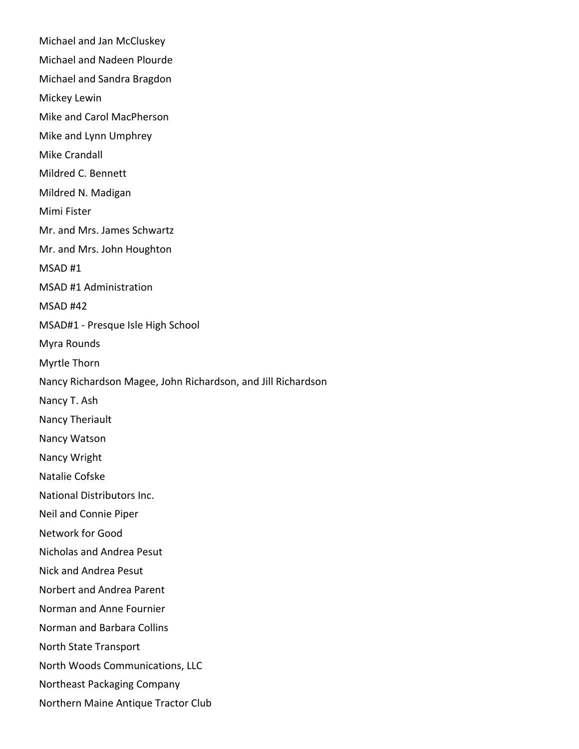Michael and Jan McCluskey Michael and Nadeen Plourde Michael and Sandra Bragdon Mickey Lewin Mike and Carol MacPherson Mike and Lynn Umphrey Mike Crandall Mildred C. Bennett Mildred N. Madigan Mimi Fister Mr. and Mrs. James Schwartz Mr. and Mrs. John Houghton MSAD #1 MSAD #1 Administration MSAD #42 MSAD#1 - Presque Isle High School Myra Rounds Myrtle Thorn Nancy Richardson Magee, John Richardson, and Jill Richardson Nancy T. Ash Nancy Theriault Nancy Watson Nancy Wright Natalie Cofske National Distributors Inc. Neil and Connie Piper Network for Good Nicholas and Andrea Pesut Nick and Andrea Pesut Norbert and Andrea Parent Norman and Anne Fournier Norman and Barbara Collins North State Transport North Woods Communications, LLC Northeast Packaging Company Northern Maine Antique Tractor Club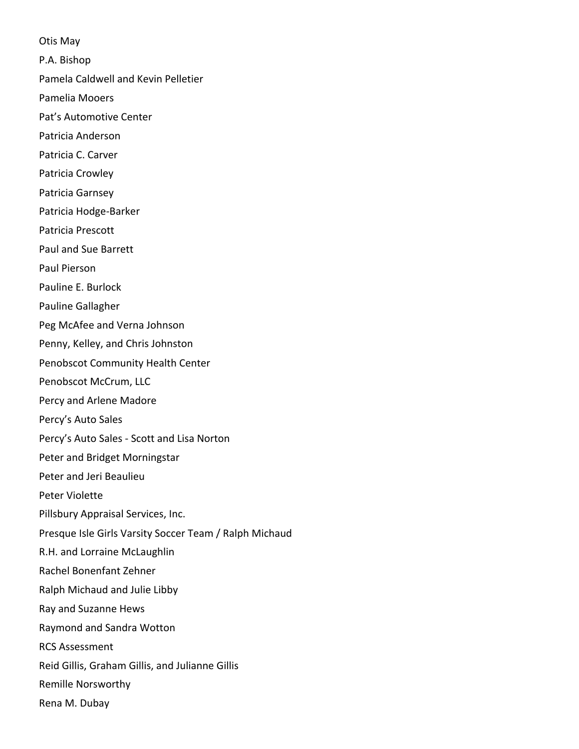Otis May

P.A. Bishop

Pamela Caldwell and Kevin Pelletier

Pamelia Mooers

Pat's Automotive Center

Patricia Anderson

Patricia C. Carver

Patricia Crowley

Patricia Garnsey

Patricia Hodge-Barker

Patricia Prescott

Paul and Sue Barrett

Paul Pierson

Pauline E. Burlock

Pauline Gallagher

Peg McAfee and Verna Johnson

Penny, Kelley, and Chris Johnston

Penobscot Community Health Center

Penobscot McCrum, LLC

Percy and Arlene Madore

Percy's Auto Sales

Percy's Auto Sales - Scott and Lisa Norton

Peter and Bridget Morningstar

Peter and Jeri Beaulieu

Peter Violette

Pillsbury Appraisal Services, Inc.

Presque Isle Girls Varsity Soccer Team / Ralph Michaud

R.H. and Lorraine McLaughlin

Rachel Bonenfant Zehner

Ralph Michaud and Julie Libby

Ray and Suzanne Hews

Raymond and Sandra Wotton

RCS Assessment

Reid Gillis, Graham Gillis, and Julianne Gillis

Remille Norsworthy

Rena M. Dubay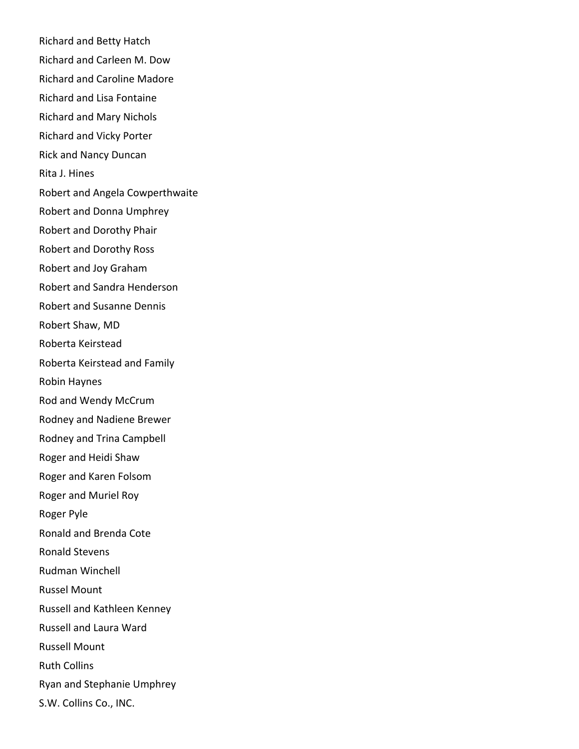Richard and Betty Hatch Richard and Carleen M. Dow Richard and Caroline Madore Richard and Lisa Fontaine Richard and Mary Nichols Richard and Vicky Porter Rick and Nancy Duncan Rita J. Hines Robert and Angela Cowperthwaite Robert and Donna Umphrey Robert and Dorothy Phair Robert and Dorothy Ross Robert and Joy Graham Robert and Sandra Henderson Robert and Susanne Dennis Robert Shaw, MD Roberta Keirstead Roberta Keirstead and Family Robin Haynes Rod and Wendy McCrum Rodney and Nadiene Brewer Rodney and Trina Campbell Roger and Heidi Shaw Roger and Karen Folsom Roger and Muriel Roy Roger Pyle Ronald and Brenda Cote Ronald Stevens Rudman Winchell Russel Mount Russell and Kathleen Kenney Russell and Laura Ward Russell Mount Ruth Collins Ryan and Stephanie Umphrey S.W. Collins Co., INC.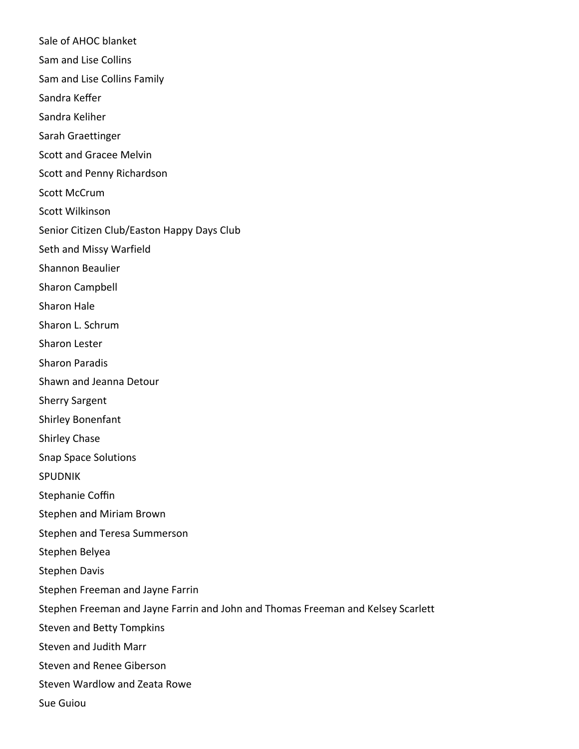Sale of AHOC blanket Sam and Lise Collins Sam and Lise Collins Family Sandra Keffer Sandra Keliher Sarah Graettinger Scott and Gracee Melvin Scott and Penny Richardson Scott McCrum Scott Wilkinson Senior Citizen Club/Easton Happy Days Club Seth and Missy Warfield Shannon Beaulier Sharon Campbell Sharon Hale Sharon L. Schrum Sharon Lester Sharon Paradis Shawn and Jeanna Detour Sherry Sargent Shirley Bonenfant Shirley Chase Snap Space Solutions SPUDNIK Stephanie Coffin Stephen and Miriam Brown Stephen and Teresa Summerson Stephen Belyea Stephen Davis Stephen Freeman and Jayne Farrin Stephen Freeman and Jayne Farrin and John and Thomas Freeman and Kelsey Scarlett Steven and Betty Tompkins Steven and Judith Marr Steven and Renee Giberson Steven Wardlow and Zeata Rowe Sue Guiou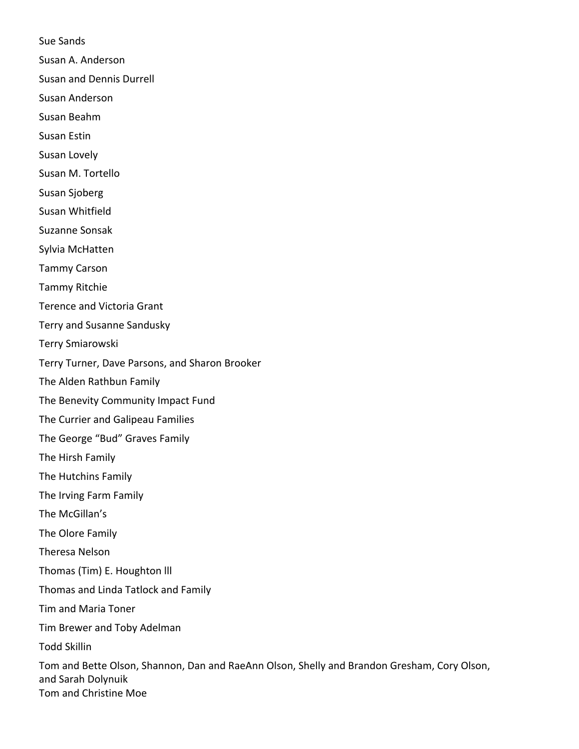Sue Sands

Susan A. Anderson

Susan and Dennis Durrell

Susan Anderson

Susan Beahm

Susan Estin

Susan Lovely

Susan M. Tortello

Susan Sjoberg

Susan Whitfield

Suzanne Sonsak

Sylvia McHatten

Tammy Carson

Tammy Ritchie

Terence and Victoria Grant

Terry and Susanne Sandusky

Terry Smiarowski

Terry Turner, Dave Parsons, and Sharon Brooker

The Alden Rathbun Family

The Benevity Community Impact Fund

The Currier and Galipeau Families

The George "Bud" Graves Family

The Hirsh Family

The Hutchins Family

The Irving Farm Family

The McGillan's

The Olore Family

Theresa Nelson

Thomas (Tim) E. Houghton lll

Thomas and Linda Tatlock and Family

Tim and Maria Toner

Tim Brewer and Toby Adelman

Todd Skillin

Tom and Bette Olson, Shannon, Dan and RaeAnn Olson, Shelly and Brandon Gresham, Cory Olson, and Sarah Dolynuik Tom and Christine Moe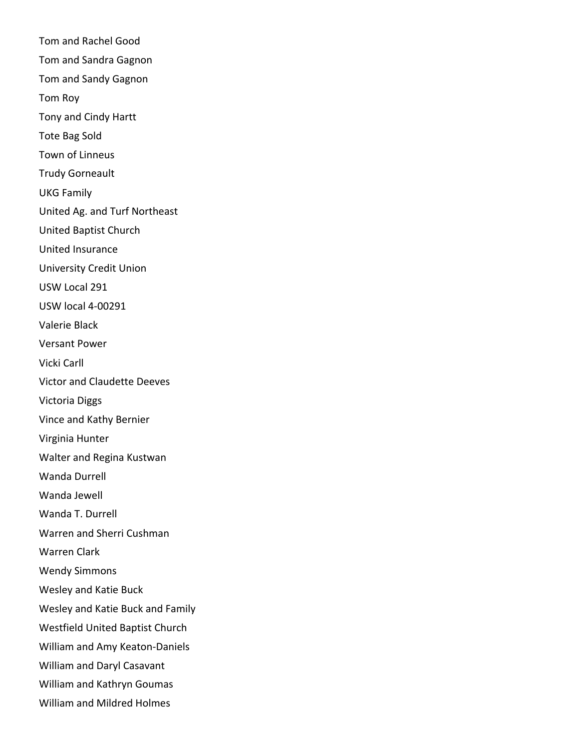Tom and Rachel Good Tom and Sandra Gagnon Tom and Sandy Gagnon Tom Roy Tony and Cindy Hartt Tote Bag Sold Town of Linneus Trudy Gorneault UKG Family United Ag. and Turf Northeast United Baptist Church United Insurance University Credit Union USW Local 291 USW local 4-00291 Valerie Black Versant Power Vicki Carll Victor and Claudette Deeves Victoria Diggs Vince and Kathy Bernier Virginia Hunter Walter and Regina Kustwan Wanda Durrell Wanda Jewell Wanda T. Durrell Warren and Sherri Cushman Warren Clark Wendy Simmons Wesley and Katie Buck Wesley and Katie Buck and Family Westfield United Baptist Church William and Amy Keaton-Daniels William and Daryl Casavant William and Kathryn Goumas William and Mildred Holmes